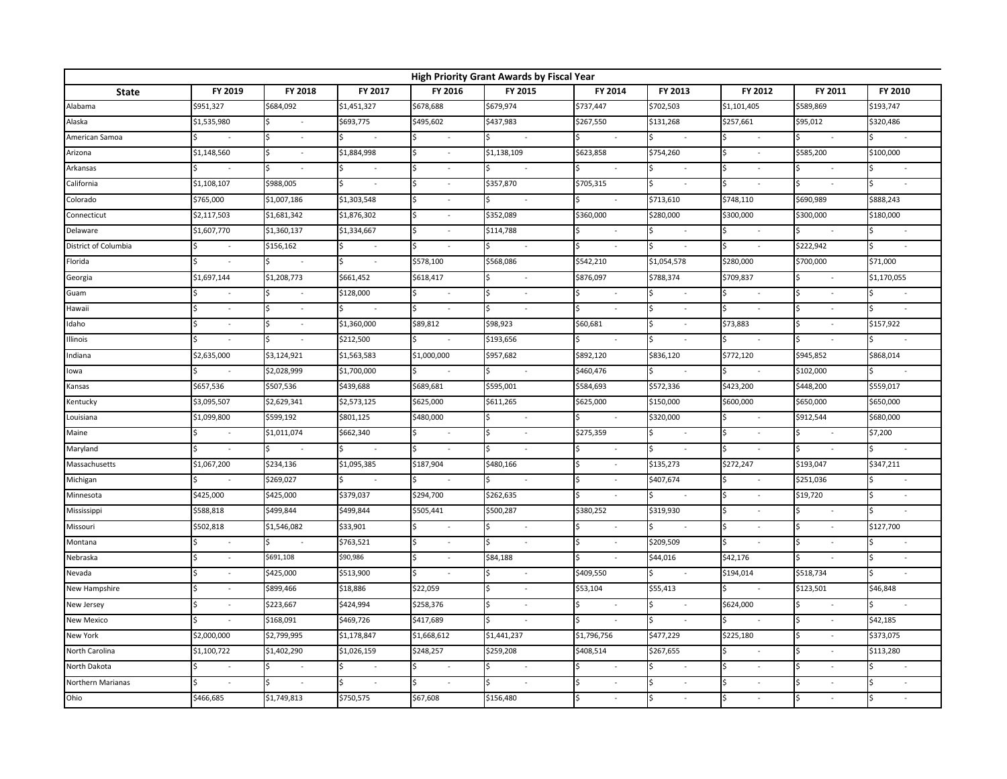| High Priority Grant Awards by Fiscal Year |                          |                               |               |                          |                      |                          |                |                     |                          |               |
|-------------------------------------------|--------------------------|-------------------------------|---------------|--------------------------|----------------------|--------------------------|----------------|---------------------|--------------------------|---------------|
| <b>State</b>                              | FY 2019                  | FY 2018                       | FY 2017       | FY 2016                  | FY 2015              | FY 2014                  | FY 2013        | FY 2012             | FY 2011                  | FY 2010       |
| Alabama                                   | \$951,327                | \$684,092                     | \$1,451,327   | \$678,688                | \$679,974            | \$737,447                | \$702,503      | \$1,101,405         | \$589,869                | \$193,747     |
| Alaska                                    | \$1,535,980              | $\sim$                        | \$693,775     | \$495,602                | \$437,983            | \$267,550                | \$131,268      | \$257,661           | \$95,012                 | \$320,486     |
| American Samoa                            |                          | l\$<br>$\sim$                 |               | Ś                        |                      |                          |                |                     |                          |               |
| Arizona                                   | \$1,148,560              |                               | \$1,884,998   |                          | \$1,138,109          | \$623,858                | \$754,260      |                     | \$585,200                | \$100,000     |
| Arkansas                                  |                          |                               |               | $\sim$                   | $\omega$             |                          |                | $\sim$              |                          |               |
| California                                | \$1,108,107              | \$988,005                     |               | Ś<br>$\sim$              | \$357,870            | \$705,315                | $\sim$         | $\bar{\phantom{a}}$ |                          | $\omega$      |
| Colorado                                  | \$765,000                | \$1,007,186                   | \$1,303,548   |                          |                      |                          | \$713,610      | \$748,110           | \$690,989                | \$888,243     |
| Connecticut                               | \$2,117,503              | \$1,681,342                   | \$1,876,302   | $\overline{\phantom{a}}$ | \$352,089            | \$360,000                | \$280,000      | \$300,000           | \$300,000                | \$180,000     |
| Delaware                                  | \$1,607,770              | \$1,360,137                   | \$1,334,667   | l\$<br>$\sim$            | \$114,788            |                          |                | $\sim$              |                          |               |
| District of Columbia                      | $\omega$                 | \$156,162                     |               |                          | $\sim$               |                          |                |                     | \$222,942                |               |
| Florida                                   |                          |                               | <b>S</b>      | \$578,100                | \$568,086            | \$542,210                | \$1,054,578    | \$280,000           | \$700,000                | \$71,000      |
| Georgia                                   | \$1,697,144              | \$1,208,773                   | \$661,452     | \$618,417                | $\omega$             | \$876,097                | \$788,374      | \$709,837           | $\sim$                   | \$1,170,055   |
| Guam                                      | $\sim$                   | $\sim$                        | \$128,000     | l\$<br>$\sim$            | <b>S</b><br>$\sim$   | $\sim$                   |                |                     |                          |               |
| Hawaii                                    |                          |                               | <b>S</b>      | <b>S</b>                 | <b>S</b><br>$\sim$   |                          |                |                     |                          |               |
| Idaho                                     | $\bar{z}$                | Ś                             | \$1,360,000   | \$89,812                 | \$98,923             | \$60,681                 |                | \$73,883            |                          | \$157,922     |
| Illinois                                  |                          |                               | \$212,500     |                          | \$193,656            |                          |                |                     |                          |               |
| Indiana                                   | \$2,635,000              | \$3,124,921                   | \$1,563,583   | \$1,000,000              | \$957,682            | \$892,120                | \$836,120      | \$772,120           | \$945,852                | \$868,014     |
| lowa                                      | $\sim$                   | \$2,028,999                   | \$1,700,000   |                          | $\omega$             | \$460,476                |                |                     | \$102,000                |               |
| Kansas                                    | \$657,536                | \$507,536                     | \$439,688     | \$689,681                | \$595,001            | \$584,693                | \$572,336      | \$423,200           | \$448,200                | \$559,017     |
| Kentucky                                  | \$3,095,507              | \$2,629,341                   | \$2,573,125   | \$625,000                | \$611,265            | \$625,000                | \$150,000      | \$600,000           | \$650,000                | \$650,000     |
| Louisiana                                 | \$1,099,800              | \$599,192                     | \$801,125     | \$480,000                | $\omega$             |                          | \$320,000      |                     | \$912,544                | \$680,000     |
| Maine                                     | $\sim$                   | \$1,011,074                   | \$662,340     | $\sim$                   | $\sim$               | \$275,359                | $\sim$         | $\omega$            | $\sim$                   | \$7,200       |
| Maryland                                  | $\sim$                   | $\frac{1}{2}$<br>$\sim$       | l\$           | \$                       | IŚ.<br>$\sim$        | $\bar{\phantom{a}}$      | Ś.<br>$\omega$ | $\sim$              | ς.                       | $\mathcal{L}$ |
| Massachusetts                             | \$1,067,200              | \$234,136                     | \$1,095,385   | \$187,904                | \$480,166            |                          | \$135,273      | \$272,247           | \$193,047                | \$347,211     |
| Michigan                                  | $\overline{\phantom{a}}$ | \$269,027                     |               |                          | $\omega$             | $\overline{\phantom{a}}$ | \$407,674      |                     | \$251,036                |               |
| Minnesota                                 | \$425,000                | \$425,000                     | \$379,037     | \$294,700                | \$262,635            |                          |                |                     | \$19,720                 | $\sim$        |
| Mississippi                               | \$588,818                | \$499,844                     | \$499,844     | \$505,441                | \$500,287            | \$380,252                | \$319,930      |                     |                          |               |
| Missouri                                  | \$502,818                | \$1,546,082                   | \$33,901      |                          | $\blacksquare$       |                          |                |                     |                          | \$127,700     |
| Montana                                   | $\sim$                   | \$<br>$\sim$                  | \$763,521     | Ś<br>$\sim$              | <b>S</b><br>$\omega$ | $\bar{\phantom{a}}$      | \$209,509      | $\sim$              | $\overline{\phantom{a}}$ |               |
| Nebraska                                  | $\overline{\phantom{a}}$ | \$691,108                     | \$90,986      | $\sim$                   | \$84,188             |                          | \$44,016       | \$42,176            |                          |               |
| Nevada                                    |                          | \$425,000                     | \$513,900     |                          | <b>S</b><br>$\sim$   | \$409,550                |                | \$194,014           | \$518,734                |               |
| New Hampshire                             |                          | \$899,466                     | \$18,886      | \$22,059                 | ÷,                   | \$53,104                 | \$55,413       |                     | \$123,501                | \$46,848      |
| New Jersey                                | $\overline{\phantom{a}}$ | \$223,667                     | \$424,994     | \$258,376                | $\omega$             |                          |                | \$624,000           |                          |               |
| New Mexico                                |                          | \$168,091                     | \$469,726     | \$417,689                |                      |                          |                |                     | $\overline{\phantom{a}}$ | \$42,185      |
| New York                                  | \$2,000,000              | \$2,799,995                   | \$1,178,847   | \$1,668,612              | \$1,441,237          | \$1,796,756              | \$477,229      | 5225,180            | $\bar{a}$                | \$373,075     |
| North Carolina                            | \$1,100,722              | \$1,402,290                   | \$1,026,159   | \$248,257                | \$259,208            | \$408,514                | \$267,655      |                     |                          | \$113,280     |
| North Dakota                              | $\omega$                 | Ś<br>$\overline{\phantom{a}}$ | I\$<br>$\sim$ | \$<br>$\sim$             | l\$<br>$\sim$        |                          |                |                     |                          | $\sim$        |
| Northern Marianas                         |                          | l\$                           |               | Ś.                       |                      |                          |                |                     |                          |               |
| Ohio                                      | \$466,685                | \$1,749,813                   | \$750,575     | \$67,608                 | \$156,480            |                          |                |                     |                          | $\sim$        |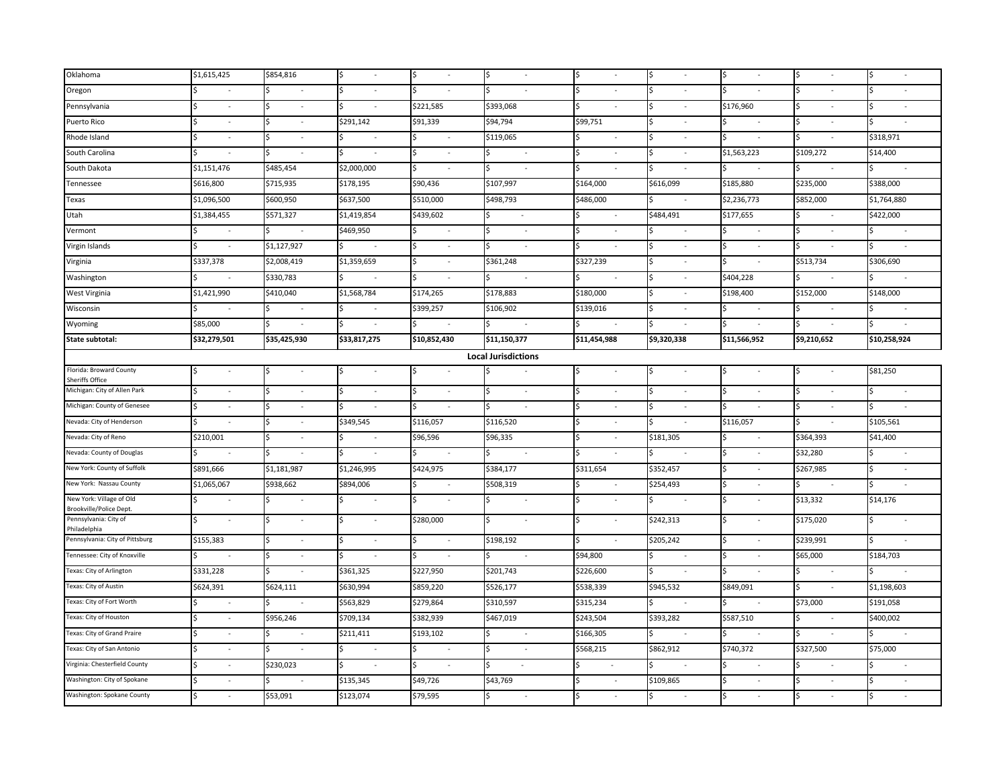| Oklahoma                                            | \$1,615,425              | \$854,816                |                             |                                |                            |                          |                |              |                          |              |
|-----------------------------------------------------|--------------------------|--------------------------|-----------------------------|--------------------------------|----------------------------|--------------------------|----------------|--------------|--------------------------|--------------|
| Oregon                                              | $\sim$                   | $\overline{\phantom{a}}$ | $\overline{\phantom{a}}$    |                                |                            |                          |                |              |                          |              |
| Pennsylvania                                        | $\sim$                   | $\sim$                   |                             | \$221,585                      | \$393,068                  |                          |                | \$176,960    |                          |              |
| Puerto Rico                                         | $\sim$                   | $\overline{\phantom{a}}$ | \$291,142                   | \$91,339                       | \$94,794                   | \$99,751                 |                | Ś            |                          |              |
| Rhode Island                                        | $\omega$                 | $\overline{\phantom{a}}$ | ÷,                          |                                | \$119,065                  |                          |                | \$           |                          | \$318,971    |
| South Carolina                                      |                          |                          |                             |                                | $\sim$                     | $\sim$                   |                | \$1,563,223  | \$109,272                | \$14,400     |
| South Dakota                                        | \$1,151,476              | \$485,454                | \$2,000,000                 | ÷.                             | $\overline{\phantom{a}}$   |                          | ς              |              |                          |              |
| Tennessee                                           | \$616,800                | \$715,935                | \$178,195                   | \$90,436                       | \$107,997                  | \$164,000                | \$616,099      | \$185,880    | \$235,000                | \$388,000    |
| Texas                                               | \$1,096,500              | \$600,950                | \$637,500                   | \$510,000                      | \$498,793                  | \$486,000                |                | \$2,236,773  | \$852,000                | \$1,764,880  |
| Utah                                                | \$1,384,455              | \$571,327                | \$1,419,854                 | \$439,602                      | $\bar{z}$                  | $\sim$                   | \$484,491      | \$177,655    |                          | \$422,000    |
| Vermont                                             | $\mathcal{L}$            |                          | \$469,950                   |                                |                            | Ś<br>$\sim$              |                | Ś            | Ś                        | Ś            |
| Virgin Islands                                      | $\mathbf{r}$             | \$1,127,927              |                             |                                |                            | \$.                      | Ś              | \$<br>$\sim$ | Ś                        |              |
| Virginia                                            | \$337,378                | \$2,008,419              | \$1,359,659                 | $\sim$                         | \$361,248                  | \$327,239                | Ś              | Ś            | \$513,734                | \$306,690    |
| Washington                                          | $\omega$                 | \$330,783                | $\mathcal{L}_{\mathcal{A}}$ | Ś.<br>$\omega$                 | $\omega$                   | $\omega$                 | Ś              | \$404,228    | Ś.                       |              |
| West Virginia                                       | \$1,421,990              | \$410,040                | \$1,568,784                 | \$174,265                      | \$178,883                  | \$180,000                |                | \$198,400    | \$152,000                | \$148,000    |
| Wisconsin                                           | $\sim$                   | $\sim$                   | $\sim$                      | \$399,257                      | \$106,902                  | \$139,016                |                |              |                          |              |
| Wyoming                                             | \$85,000                 | $\sim$                   | $\overline{\phantom{a}}$    | $\sim$                         | $\sim$                     | $\overline{\phantom{a}}$ | Ŝ.             | \$<br>$\sim$ | Ś                        | Ś.<br>$\sim$ |
| State subtotal:                                     | \$32,279,501             | \$35,425,930             | \$33,817,275                | \$10,852,430                   | \$11,150,377               | \$11,454,988             | \$9,320,338    | \$11,566,952 | \$9,210,652              | \$10,258,924 |
|                                                     |                          |                          |                             |                                | <b>Local Jurisdictions</b> |                          |                |              |                          |              |
| Florida: Broward County<br>Sheriffs Office          | $\sim$                   | $\sim$                   | $\mathcal{L}$               | Ś.<br>$\omega$                 | $\sim$                     | Ś<br>$\blacksquare$      | lŚ<br>$\sim$   | Ś<br>$\sim$  | Ś<br>$\sim$              | \$81,250     |
| Michigan: City of Allen Park                        | ÷.                       |                          | $\sim$                      |                                | $\sim$                     |                          | Ś              | Ś            |                          |              |
| Michigan: County of Genesee                         | $\sim$                   | $\sim$                   |                             |                                | $\sim$                     | $\sim$                   | Ś              |              |                          |              |
| Nevada: City of Henderson                           | $\overline{\phantom{a}}$ | $\blacksquare$           | \$349,545                   | \$116,057                      | \$116,520                  | $\bar{\phantom{a}}$      | Ś              | \$116,057    |                          | \$105,561    |
| Nevada: City of Reno                                | \$210,001                | $\sim$                   | $\sim$                      | \$96,596                       | \$96,335                   | ä,                       | \$181,305      | Ś<br>$\sim$  | \$364,393                | \$41,400     |
| Nevada: County of Douglas                           | $\sim$                   | $\sim$                   | $\sim$                      |                                | $\sim$                     |                          |                | Ś            | \$32,280                 | $\sim$       |
| New York: County of Suffolk                         | \$891,666                | \$1,181,987              | \$1,246,995                 | \$424,975                      | \$384,177                  | \$311,654                | \$352,457      | Ś            | \$267,985                |              |
| New York: Nassau County                             | \$1,065,067              | \$938,662                | \$894,006                   |                                | \$508,319                  |                          | \$254,493      | \$           | Ś.                       |              |
| New York: Village of Old<br>Brookville/Police Dept. | $\sim$                   | $\sim$                   |                             |                                | $\sim$                     |                          |                | Ś            | \$13,332                 | \$14,176     |
| Pennsylvania: City of<br>Philadelphia               | ÷,                       | $\sim$                   | $\overline{\phantom{a}}$    | \$280,000                      | $\sim$                     | Ś<br>$\bar{\phantom{a}}$ | \$242,313      | Ś            | \$175,020                |              |
| Pennsylvania: City of Pittsburg                     | \$155,383                | $\sim$                   | $\sim$                      | ς.<br>$\omega$                 | \$198,192                  | Ś.<br>$\mathcal{L}$      | \$205,242      | Ś<br>$\sim$  | \$239,991                | Ś.           |
| Tennessee: City of Knoxville                        | ÷,                       | $\sim$                   | $\bar{a}$                   | $\omega$                       | $\overline{\phantom{a}}$   | \$94,800                 | $\sim$         | Ś            | \$65,000                 | \$184,703    |
| Texas: City of Arlington                            | \$331,228                | $\blacksquare$           | \$361,325                   | \$227,950                      | \$201,743                  | \$226,600                |                | Ś            | $\overline{\phantom{a}}$ |              |
| Texas: City of Austin                               | \$624,391                | \$624,111                | \$630,994                   | \$859,220                      | \$526,177                  | \$538,339                | \$945,532      | \$849,091    | Ś.                       | \$1,198,603  |
| Texas: City of Fort Worth                           | $\sim$                   |                          | \$563,829                   | \$279,864                      | \$310,597                  | \$315,234                |                |              | \$73,000                 | \$191,058    |
| Texas: City of Houston                              | $\sim$                   | \$956,246                | \$709,134                   | \$382,939                      | \$467,019                  | \$243,504                | \$393,282      | \$587,510    |                          | \$400,002    |
| Texas: City of Grand Praire                         | ÷.                       | $\sim$                   | \$211,411                   | \$193,102                      | $\sim$                     | \$166,305                | $\sim$         | Ś            | \$                       | ς.           |
| Texas: City of San Antonio                          | ÷.                       | $\overline{\phantom{a}}$ | $\sim$                      | $\omega$                       | $\sim$                     | \$568,215                | \$862,912      | \$740,372    | \$327,500                | \$75,000     |
| Virginia: Chesterfield County                       | $\sim$                   | \$230,023                | $\overline{\phantom{a}}$    | Ś.<br>$\overline{\phantom{a}}$ | $\overline{\phantom{a}}$   |                          |                |              |                          |              |
| Washington: City of Spokane                         | ÷,                       |                          | \$135,345                   | \$49,726                       | \$43,769                   |                          | \$109,865      | Ś            |                          |              |
| Washington: Spokane County                          | \$<br>$\omega$           | \$53,091                 | \$123,074                   | \$79,595                       | $\sim$                     | \$<br>$\omega$           | \$<br>$\omega$ | \$<br>$\sim$ | \$                       | \$<br>$\sim$ |